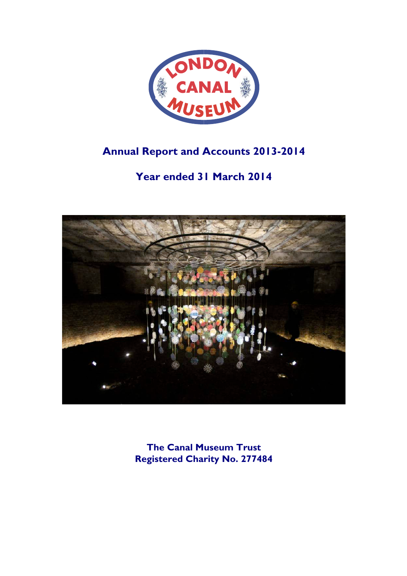

# **Annual Report and Accounts 2013-2014**

# **Year ended 31 March 2014**



**The Canal Museum Trust Registered Charity No. 277484**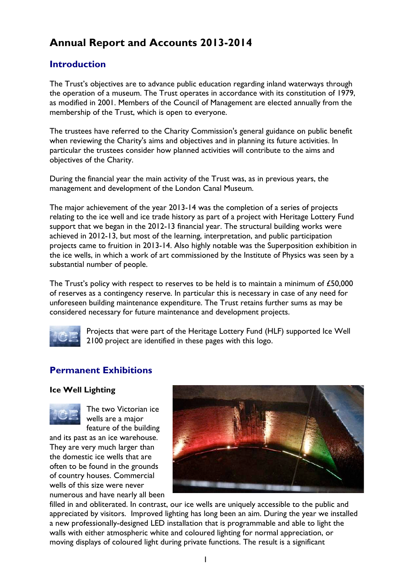# **Annual Report and Accounts 2013-2014**

## **Introduction**

The Trust's objectives are to advance public education regarding inland waterways through the operation of a museum. The Trust operates in accordance with its constitution of 1979, as modified in 2001. Members of the Council of Management are elected annually from the membership of the Trust, which is open to everyone.

The trustees have referred to the Charity Commission's general guidance on public benefit when reviewing the Charity's aims and objectives and in planning its future activities. In particular the trustees consider how planned activities will contribute to the aims and objectives of the Charity.

During the financial year the main activity of the Trust was, as in previous years, the management and development of the London Canal Museum.

The major achievement of the year 2013-14 was the completion of a series of projects relating to the ice well and ice trade history as part of a project with Heritage Lottery Fund support that we began in the 2012-13 financial year. The structural building works were achieved in 2012-13, but most of the learning, interpretation, and public participation projects came to fruition in 2013-14. Also highly notable was the Superposition exhibition in the ice wells, in which a work of art commissioned by the Institute of Physics was seen by a substantial number of people.

The Trust's policy with respect to reserves to be held is to maintain a minimum of £50,000 of reserves as a contingency reserve. In particular this is necessary in case of any need for unforeseen building maintenance expenditure. The Trust retains further sums as may be considered necessary for future maintenance and development projects.



Projects that were part of the Heritage Lottery Fund (HLF) supported Ice Well 2100 project are identified in these pages with this logo.

## **Permanent Exhibitions**

### **Ice Well Lighting**



The two Victorian ice wells are a major feature of the building

and its past as an ice warehouse. They are very much larger than the domestic ice wells that are often to be found in the grounds of country houses. Commercial wells of this size were never numerous and have nearly all been



filled in and obliterated. In contrast, our ice wells are uniquely accessible to the public and appreciated by visitors. Improved lighting has long been an aim. During the year we installed a new professionally-designed LED installation that is programmable and able to light the walls with either atmospheric white and coloured lighting for normal appreciation, or moving displays of coloured light during private functions. The result is a significant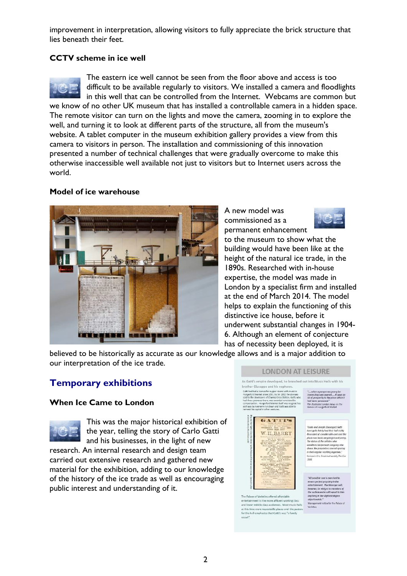improvement in interpretation, allowing visitors to fully appreciate the brick structure that lies beneath their feet.

## **CCTV scheme in ice well**



The eastern ice well cannot be seen from the floor above and access is too difficult to be available regularly to visitors. We installed a camera and floodlights in this well that can be controlled from the Internet. Webcams are common but we know of no other UK museum that has installed a controllable camera in a hidden space. The remote visitor can turn on the lights and move the camera, zooming in to explore the well, and turning it to look at different parts of the structure, all from the museum's website. A tablet computer in the museum exhibition gallery provides a view from this camera to visitors in person. The installation and commissioning of this innovation presented a number of technical challenges that were gradually overcome to make this otherwise inaccessible well available not just to visitors but to Internet users across the world.

### **Model of ice warehouse**



A new model was commissioned as a permanent enhancement



to the museum to show what the building would have been like at the height of the natural ice trade, in the 1890s. Researched with in-house expertise, the model was made in London by a specialist firm and installed at the end of March 2014. The model helps to explain the functioning of this distinctive ice house, before it underwent substantial changes in 1904- 6. Although an element of conjecture has of necessity been deployed, it is

believed to be historically as accurate as our knowledge allows and is a major addition to our interpretation of the ice trade.

## **Temporary exhibitions**

## **When Ice Came to London**



This was the major historical exhibition of the year, telling the story of Carlo Gatti and his businesses, in the light of new

research. An internal research and design team carried out extensive research and gathered new material for the exhibition, adding to our knowledge of the history of the ice trade as well as encouraging public interest and understanding of it.

#### **LONDON AT LEISURE**

As Gatti's ampire developed, be branched out into Music Halls with his brother Giuseppe and his nephews. Gath had had a leance for suppor norms with music in<br>Hungerford Market since 1857, but in 1862 the site was<br>sold to the developers of Channey Cross Station. Gath, who<br>had three generates there, was awarded considerable<br>com



The Palace of Varieties offered affordable ertainment to the more affluent working cla<br>I lower middle class audiences. Most music at this time were respectable places and the poster<br>for the hall emphasise that Gatti's was "a family  $\begin{array}{l} \textit{``...} when a processor person & \textit{very ice}\\ \textit{cream shop was opened} \textit{...}. If gave an \textit{air of property to the place which it} \\ \textit{hat never possessed."} \end{array}$ 

The Mustrated London News on the<br>demice of Hungerford Market

"Carlo and Joseph (Slutesppe) Gatti<br>howe quite helds had deviced and considerable contained at considerable cost and the<br>phase nous looks wery bright and poetty.<br>The status of the artistics who<br>considerable process compan In their regular working expert Image in the Headrical sensity The Fra-

ore perfect propriety in<br>ertainment. The Manay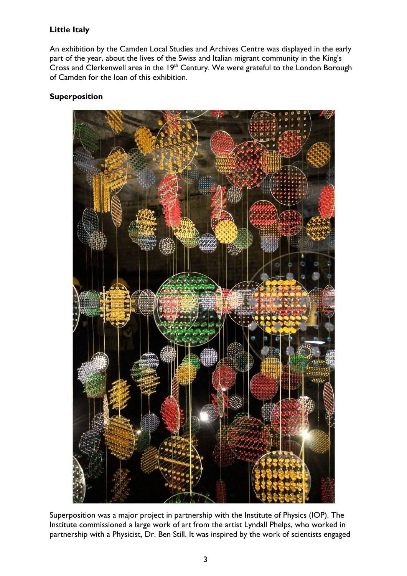## **Little Italy**

An exhibition by the Camden Local Studies and Archives Centre was displayed in the early part of the year, about the lives of the Swiss and Italian migrant community in the King's Cross and Clerkenwell area in the  $19<sup>th</sup>$  Century. We were grateful to the London Borough of Camden for the loan of this exhibition.

## **Superposition**



Superposition was a major project in partnership with the Institute of Physics (IOP). The Institute commissioned a large work of art from the artist Lyndall Phelps, who worked in partnership with a Physicist, Dr. Ben Still. It was inspired by the work of scientists engaged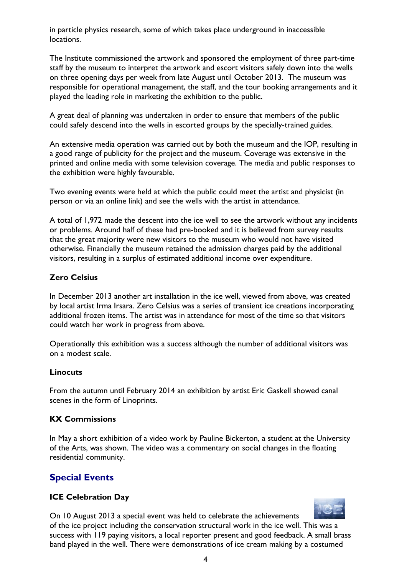in particle physics research, some of which takes place underground in inaccessible locations.

The Institute commissioned the artwork and sponsored the employment of three part-time staff by the museum to interpret the artwork and escort visitors safely down into the wells on three opening days per week from late August until October 2013. The museum was responsible for operational management, the staff, and the tour booking arrangements and it played the leading role in marketing the exhibition to the public.

A great deal of planning was undertaken in order to ensure that members of the public could safely descend into the wells in escorted groups by the specially-trained guides.

An extensive media operation was carried out by both the museum and the IOP, resulting in a good range of publicity for the project and the museum. Coverage was extensive in the printed and online media with some television coverage. The media and public responses to the exhibition were highly favourable.

Two evening events were held at which the public could meet the artist and physicist (in person or via an online link) and see the wells with the artist in attendance.

A total of 1,972 made the descent into the ice well to see the artwork without any incidents or problems. Around half of these had pre-booked and it is believed from survey results that the great majority were new visitors to the museum who would not have visited otherwise. Financially the museum retained the admission charges paid by the additional visitors, resulting in a surplus of estimated additional income over expenditure.

## **Zero Celsius**

In December 2013 another art installation in the ice well, viewed from above, was created by local artist Irma Irsara. Zero Celsius was a series of transient ice creations incorporating additional frozen items. The artist was in attendance for most of the time so that visitors could watch her work in progress from above.

Operationally this exhibition was a success although the number of additional visitors was on a modest scale.

## **Linocuts**

From the autumn until February 2014 an exhibition by artist Eric Gaskell showed canal scenes in the form of Linoprints.

## **KX Commissions**

In May a short exhibition of a video work by Pauline Bickerton, a student at the University of the Arts, was shown. The video was a commentary on social changes in the floating residential community.

## **Special Events**

## **ICE Celebration Day**

On 10 August 2013 a special event was held to celebrate the achievements of the ice project including the conservation structural work in the ice well. This was a success with 119 paying visitors, a local reporter present and good feedback. A small brass band played in the well. There were demonstrations of ice cream making by a costumed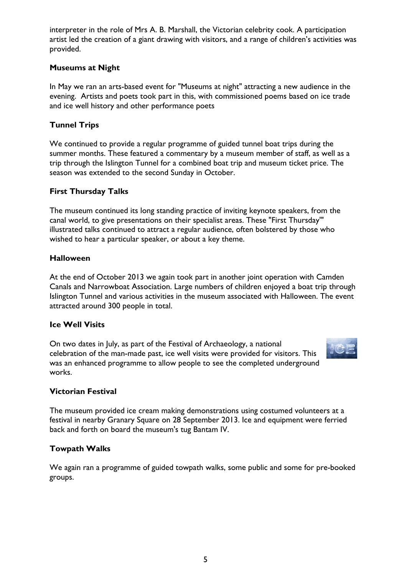interpreter in the role of Mrs A. B. Marshall, the Victorian celebrity cook. A participation artist led the creation of a giant drawing with visitors, and a range of children's activities was provided.

## **Museums at Night**

In May we ran an arts-based event for "Museums at night" attracting a new audience in the evening. Artists and poets took part in this, with commissioned poems based on ice trade and ice well history and other performance poets

## **Tunnel Trips**

We continued to provide a regular programme of guided tunnel boat trips during the summer months. These featured a commentary by a museum member of staff, as well as a trip through the Islington Tunnel for a combined boat trip and museum ticket price. The season was extended to the second Sunday in October.

## **First Thursday Talks**

The museum continued its long standing practice of inviting keynote speakers, from the canal world, to give presentations on their specialist areas. These "First Thursday'" illustrated talks continued to attract a regular audience, often bolstered by those who wished to hear a particular speaker, or about a key theme.

### **Halloween**

At the end of October 2013 we again took part in another joint operation with Camden Canals and Narrowboat Association. Large numbers of children enjoyed a boat trip through Islington Tunnel and various activities in the museum associated with Halloween. The event attracted around 300 people in total.

### **Ice Well Visits**

On two dates in July, as part of the Festival of Archaeology, a national celebration of the man-made past, ice well visits were provided for visitors. This was an enhanced programme to allow people to see the completed underground works.



## **Victorian Festival**

The museum provided ice cream making demonstrations using costumed volunteers at a festival in nearby Granary Square on 28 September 2013. Ice and equipment were ferried back and forth on board the museum's tug Bantam IV.

## **Towpath Walks**

We again ran a programme of guided towpath walks, some public and some for pre-booked groups.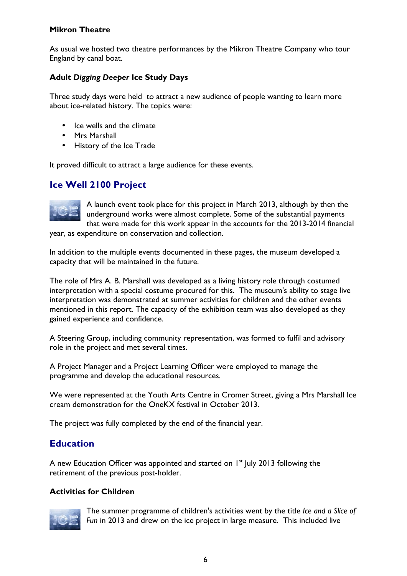## **Mikron Theatre**

As usual we hosted two theatre performances by the Mikron Theatre Company who tour England by canal boat.

## **Adult** *Digging Deeper* **Ice Study Days**

Three study days were held to attract a new audience of people wanting to learn more about ice-related history. The topics were:

- Ice wells and the climate
- Mrs Marshall
- History of the Ice Trade

It proved difficult to attract a large audience for these events.

## **Ice Well 2100 Project**



A launch event took place for this project in March 2013, although by then the underground works were almost complete. Some of the substantial payments that were made for this work appear in the accounts for the 2013-2014 financial

year, as expenditure on conservation and collection.

In addition to the multiple events documented in these pages, the museum developed a capacity that will be maintained in the future.

The role of Mrs A. B. Marshall was developed as a living history role through costumed interpretation with a special costume procured for this. The museum's ability to stage live interpretation was demonstrated at summer activities for children and the other events mentioned in this report. The capacity of the exhibition team was also developed as they gained experience and confidence.

A Steering Group, including community representation, was formed to fulfil and advisory role in the project and met several times.

A Project Manager and a Project Learning Officer were employed to manage the programme and develop the educational resources.

We were represented at the Youth Arts Centre in Cromer Street, giving a Mrs Marshall Ice cream demonstration for the OneKX festival in October 2013.

The project was fully completed by the end of the financial year.

## **Education**

A new Education Officer was appointed and started on  $I<sup>st</sup>$  July 2013 following the retirement of the previous post-holder.

## **Activities for Children**



The summer programme of children's activities went by the title *Ice and a Slice of Fun* in 2013 and drew on the ice project in large measure. This included live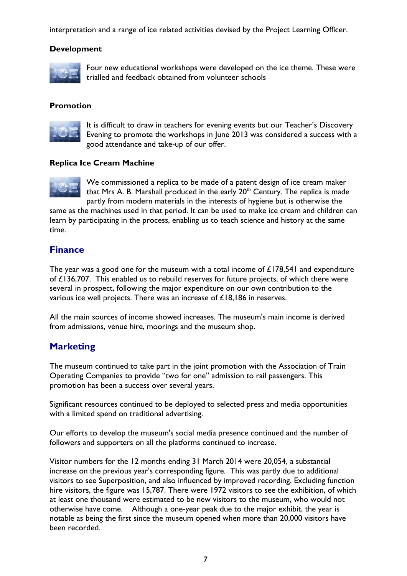interpretation and a range of ice related activities devised by the Project Learning Officer.

### **Development**



Four new educational workshops were developed on the ice theme. These were trialled and feedback obtained from volunteer schools

### **Promotion**



It is difficult to draw in teachers for evening events but our Teacher's Discovery Evening to promote the workshops in June 2013 was considered a success with a good attendance and take-up of our offer.

### **Replica Ice Cream Machine**



We commissioned a replica to be made of a patent design of ice cream maker that Mrs A. B. Marshall produced in the early  $20<sup>th</sup>$  Century. The replica is made partly from modern materials in the interests of hygiene but is otherwise the

same as the machines used in that period. It can be used to make ice cream and children can learn by participating in the process, enabling us to teach science and history at the same time.

## **Finance**

The year was a good one for the museum with a total income of  $£178,541$  and expenditure of £136,707. This enabled us to rebuild reserves for future projects, of which there were several in prospect, following the major expenditure on our own contribution to the various ice well projects. There was an increase of £18,186 in reserves.

All the main sources of income showed increases. The museum's main income is derived from admissions, venue hire, moorings and the museum shop.

## **Marketing**

The museum continued to take part in the joint promotion with the Association of Train Operating Companies to provide "two for one" admission to rail passengers. This promotion has been a success over several years.

Significant resources continued to be deployed to selected press and media opportunities with a limited spend on traditional advertising.

Our efforts to develop the museum's social media presence continued and the number of followers and supporters on all the platforms continued to increase.

Visitor numbers for the 12 months ending 31 March 2014 were 20,054, a substantial increase on the previous year's corresponding figure. This was partly due to additional visitors to see Superposition, and also influenced by improved recording. Excluding function hire visitors, the figure was 15,787. There were 1972 visitors to see the exhibition, of which at least one thousand were estimated to be new visitors to the museum, who would not otherwise have come. Although a one-year peak due to the major exhibit, the year is notable as being the first since the museum opened when more than 20,000 visitors have been recorded.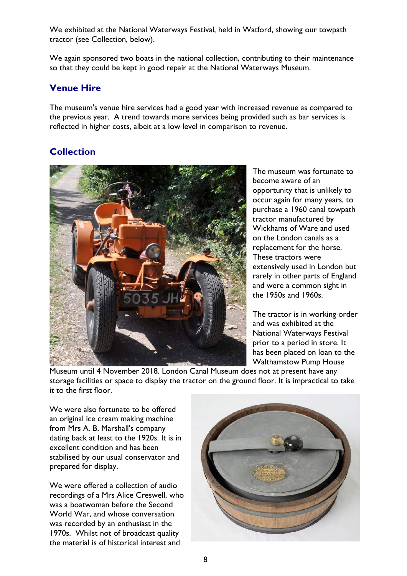We exhibited at the National Waterways Festival, held in Watford, showing our towpath tractor (see Collection, below).

We again sponsored two boats in the national collection, contributing to their maintenance so that they could be kept in good repair at the National Waterways Museum.

## **Venue Hire**

The museum's venue hire services had a good year with increased revenue as compared to the previous year. A trend towards more services being provided such as bar services is reflected in higher costs, albeit at a low level in comparison to revenue.

## **Collection**



The museum was fortunate to become aware of an opportunity that is unlikely to occur again for many years, to purchase a 1960 canal towpath tractor manufactured by Wickhams of Ware and used on the London canals as a replacement for the horse. These tractors were extensively used in London but rarely in other parts of England and were a common sight in the 1950s and 1960s.

The tractor is in working order and was exhibited at the National Waterways Festival prior to a period in store. It has been placed on loan to the Walthamstow Pump House

Museum until 4 November 2018. London Canal Museum does not at present have any storage facilities or space to display the tractor on the ground floor. It is impractical to take it to the first floor.

We were also fortunate to be offered an original ice cream making machine from Mrs A. B. Marshall's company dating back at least to the 1920s. It is in excellent condition and has been stabilised by our usual conservator and prepared for display.

We were offered a collection of audio recordings of a Mrs Alice Creswell, who was a boatwoman before the Second World War, and whose conversation was recorded by an enthusiast in the 1970s. Whilst not of broadcast quality the material is of historical interest and

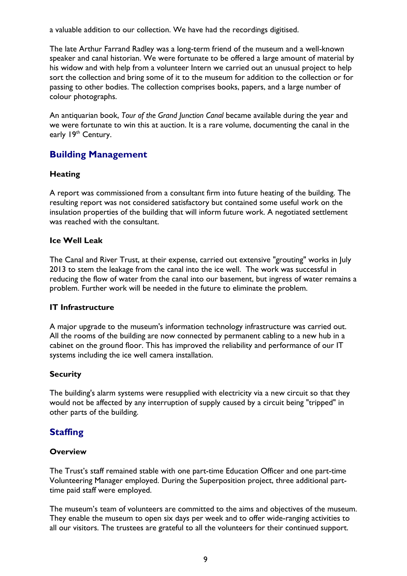a valuable addition to our collection. We have had the recordings digitised.

The late Arthur Farrand Radley was a long-term friend of the museum and a well-known speaker and canal historian. We were fortunate to be offered a large amount of material by his widow and with help from a volunteer Intern we carried out an unusual project to help sort the collection and bring some of it to the museum for addition to the collection or for passing to other bodies. The collection comprises books, papers, and a large number of colour photographs.

An antiquarian book, *Tour of the Grand Junction Canal* became available during the year and we were fortunate to win this at auction. It is a rare volume, documenting the canal in the early 19th Century.

## **Building Management**

## **Heating**

A report was commissioned from a consultant firm into future heating of the building. The resulting report was not considered satisfactory but contained some useful work on the insulation properties of the building that will inform future work. A negotiated settlement was reached with the consultant.

## **Ice Well Leak**

The Canal and River Trust, at their expense, carried out extensive "grouting" works in July 2013 to stem the leakage from the canal into the ice well. The work was successful in reducing the flow of water from the canal into our basement, but ingress of water remains a problem. Further work will be needed in the future to eliminate the problem.

## **IT Infrastructure**

A major upgrade to the museum's information technology infrastructure was carried out. All the rooms of the building are now connected by permanent cabling to a new hub in a cabinet on the ground floor. This has improved the reliability and performance of our IT systems including the ice well camera installation.

## **Security**

The building's alarm systems were resupplied with electricity via a new circuit so that they would not be affected by any interruption of supply caused by a circuit being "tripped" in other parts of the building.

## **Staffing**

## **Overview**

The Trust's staff remained stable with one part-time Education Officer and one part-time Volunteering Manager employed. During the Superposition project, three additional parttime paid staff were employed.

The museum's team of volunteers are committed to the aims and objectives of the museum. They enable the museum to open six days per week and to offer wide-ranging activities to all our visitors. The trustees are grateful to all the volunteers for their continued support.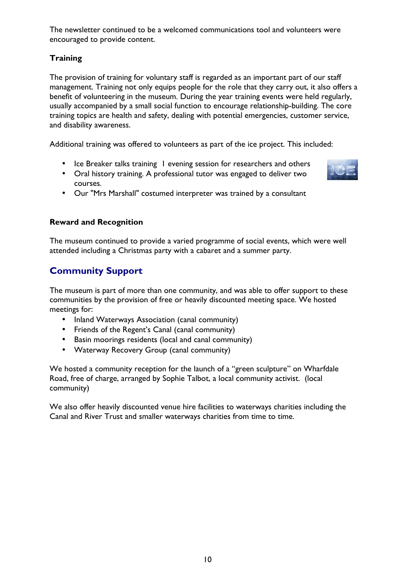The newsletter continued to be a welcomed communications tool and volunteers were encouraged to provide content.

## **Training**

The provision of training for voluntary staff is regarded as an important part of our staff management. Training not only equips people for the role that they carry out, it also offers a benefit of volunteering in the museum. During the year training events were held regularly, usually accompanied by a small social function to encourage relationship-building. The core training topics are health and safety, dealing with potential emergencies, customer service, and disability awareness.

Additional training was offered to volunteers as part of the ice project. This included:

- Ice Breaker talks training I evening session for researchers and others
- Oral history training. A professional tutor was engaged to deliver two courses.



• Our "Mrs Marshall" costumed interpreter was trained by a consultant

## **Reward and Recognition**

The museum continued to provide a varied programme of social events, which were well attended including a Christmas party with a cabaret and a summer party.

## **Community Support**

The museum is part of more than one community, and was able to offer support to these communities by the provision of free or heavily discounted meeting space. We hosted meetings for:

- Inland Waterways Association (canal community)
- Friends of the Regent's Canal (canal community)
- Basin moorings residents (local and canal community)
- Waterway Recovery Group (canal community)

We hosted a community reception for the launch of a "green sculpture" on Wharfdale Road, free of charge, arranged by Sophie Talbot, a local community activist. (local community)

We also offer heavily discounted venue hire facilities to waterways charities including the Canal and River Trust and smaller waterways charities from time to time.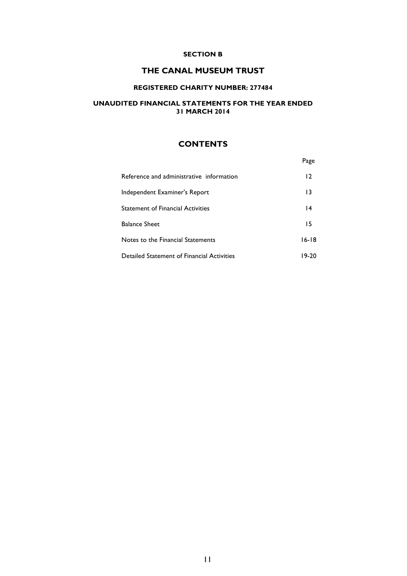#### **SECTION B**

### **THE CANAL MUSEUM TRUST**

### **REGISTERED CHARITY NUMBER: 277484**

### **UNAUDITED FINANCIAL STATEMENTS FOR THE YEAR ENDED 31 MARCH 2014**

## **CONTENTS**

| Reference and administrative information   | 12      |
|--------------------------------------------|---------|
| Independent Examiner's Report              | 13      |
| <b>Statement of Financial Activities</b>   | 4       |
| <b>Balance Sheet</b>                       | 15      |
| Notes to the Financial Statements          | $16-18$ |
| Detailed Statement of Financial Activities | 19-20   |

Page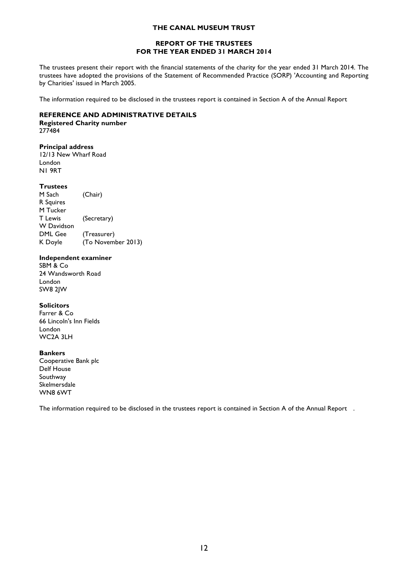#### **REPORT OF THE TRUSTEES FOR THE YEAR ENDED 31 MARCH 2014**

The trustees present their report with the financial statements of the charity for the year ended 31 March 2014. The trustees have adopted the provisions of the Statement of Recommended Practice (SORP) 'Accounting and Reporting by Charities' issued in March 2005.

The information required to be disclosed in the trustees report is contained in Section A of the Annual Report

#### **REFERENCE AND ADMINISTRATIVE DETAILS**

#### **Registered Charity number** 277484

#### **Principal address**

12/13 New Wharf Road London N1 9RT

#### **Trustees**

M Sach (Chair) R Squires M Tucker T Lewis (Secretary) W Davidson DML Gee (Treasurer) K Doyle (To November 2013)

#### **Independent examiner**

SBM & Co 24 Wandsworth Road London SW8 2JW

#### **Solicitors**

Farrer & Co 66 Lincoln's Inn Fields London WC2A 3LH

#### **Bankers**

Cooperative Bank plc Delf House Southway Skelmersdale WN8 6WT

The information required to be disclosed in the trustees report is contained in Section A of the Annual Report .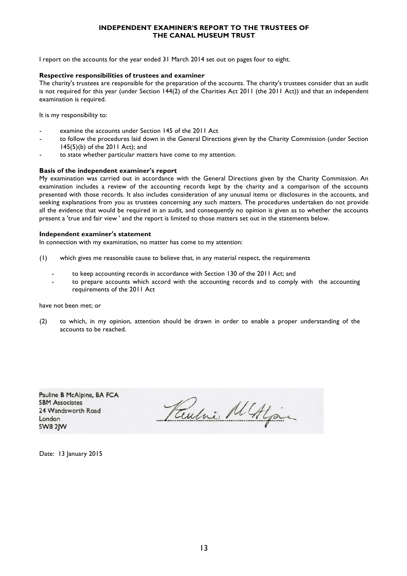#### **INDEPENDENT EXAMINER'S REPORT TO THE TRUSTEES OF THE CANAL MUSEUM TRUST**

I report on the accounts for the year ended 31 March 2014 set out on pages four to eight.

#### **Respective responsibilities of trustees and examiner**

The charity's trustees are responsible for the preparation of the accounts. The charity's trustees consider that an audit is not required for this year (under Section 144(2) of the Charities Act 2011 (the 2011 Act)) and that an independent examination is required.

It is my responsibility to:

- examine the accounts under Section 145 of the 2011 Act
- to follow the procedures laid down in the General Directions given by the Charity Commission (under Section 145(5)(b) of the 2011 Act); and
- to state whether particular matters have come to my attention.

#### **Basis of the independent examiner's report**

My examination was carried out in accordance with the General Directions given by the Charity Commission. An examination includes a review of the accounting records kept by the charity and a comparison of the accounts presented with those records. It also includes consideration of any unusual items or disclosures in the accounts, and seeking explanations from you as trustees concerning any such matters. The procedures undertaken do not provide all the evidence that would be required in an audit, and consequently no opinion is given as to whether the accounts present a 'true and fair view ' and the report is limited to those matters set out in the statements below.

#### **Independent examiner's statement**

In connection with my examination, no matter has come to my attention:

- (1) which gives me reasonable cause to believe that, in any material respect, the requirements
	- to keep accounting records in accordance with Section 130 of the 2011 Act; and
	- to prepare accounts which accord with the accounting records and to comply with the accounting requirements of the 2011 Act

have not been met; or

(2) to which, in my opinion, attention should be drawn in order to enable a proper understanding of the accounts to be reached.

Pauline B McAlpine, BA FCA **SBM Associates** 24 Wandsworth Road London **SW8 2IW** 

Paulne MAlgain

Date: 13 January 2015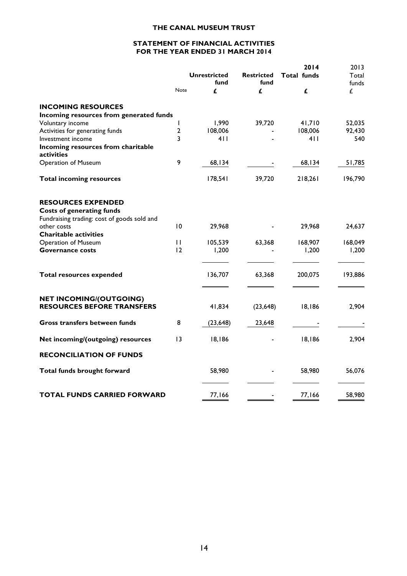#### **STATEMENT OF FINANCIAL ACTIVITIES FOR THE YEAR ENDED 31 MARCH 2014**

|                                             |                 |                     |                   | 2014               | 2013    |
|---------------------------------------------|-----------------|---------------------|-------------------|--------------------|---------|
|                                             |                 | <b>Unrestricted</b> | <b>Restricted</b> | <b>Total funds</b> | Total   |
|                                             |                 | fund                | fund              |                    | funds   |
|                                             | Note            | £                   | £                 | £                  | £       |
| <b>INCOMING RESOURCES</b>                   |                 |                     |                   |                    |         |
| Incoming resources from generated funds     |                 |                     |                   |                    |         |
| Voluntary income                            | L               | 1,990               | 39,720            | 41,710             | 52,035  |
| Activities for generating funds             | $\mathbf{2}$    | 108,006             |                   | 108,006            | 92,430  |
| Investment income                           | 3               | 4 I I               |                   | 4 I I              | 540     |
| Incoming resources from charitable          |                 |                     |                   |                    |         |
| activities                                  |                 |                     |                   |                    |         |
| <b>Operation of Museum</b>                  | 9               | 68,134              |                   | 68,134             | 51,785  |
| <b>Total incoming resources</b>             |                 | 178,541             | 39,720            | 218,261            | 196,790 |
| <b>RESOURCES EXPENDED</b>                   |                 |                     |                   |                    |         |
| <b>Costs of generating funds</b>            |                 |                     |                   |                    |         |
| Fundraising trading: cost of goods sold and |                 |                     |                   |                    |         |
| other costs                                 | 10              | 29,968              |                   | 29,968             | 24,637  |
| <b>Charitable activities</b>                |                 |                     |                   |                    |         |
| <b>Operation of Museum</b>                  | $\mathbf{1}$    | 105,539             | 63,368            | 168,907            | 168,049 |
| <b>Governance costs</b>                     | 12              | 1,200               |                   | 1,200              | 1,200   |
|                                             |                 |                     |                   |                    |         |
| <b>Total resources expended</b>             |                 | 136,707             | 63,368            | 200,075            | 193,886 |
| <b>NET INCOMING/(OUTGOING)</b>              |                 |                     |                   |                    |         |
| <b>RESOURCES BEFORE TRANSFERS</b>           |                 | 41,834              | (23, 648)         | 18,186             | 2,904   |
| Gross transfers between funds               | 8               | (23, 648)           | 23,648            |                    |         |
| Net incoming/(outgoing) resources           | $\overline{13}$ | 18,186              |                   | 18,186             | 2,904   |
| <b>RECONCILIATION OF FUNDS</b>              |                 |                     |                   |                    |         |
|                                             |                 |                     |                   |                    |         |
| Total funds brought forward                 |                 | 58,980              |                   | 58,980             | 56,076  |
| <b>TOTAL FUNDS CARRIED FORWARD</b>          |                 | 77,166              |                   | 77,166             | 58,980  |
|                                             |                 |                     |                   |                    |         |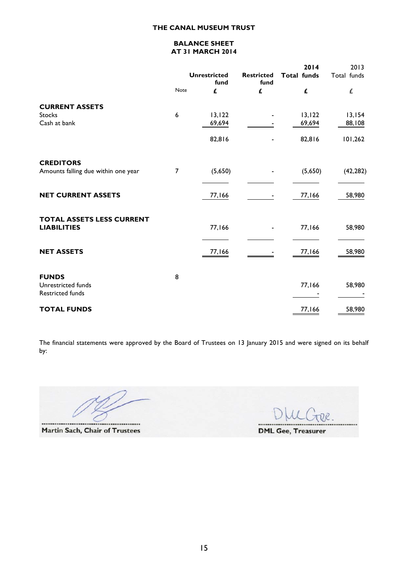### **BALANCE SHEET AT 31 MARCH 2014**

|                                                               |      |                             |                           | 2014               | 2013        |
|---------------------------------------------------------------|------|-----------------------------|---------------------------|--------------------|-------------|
|                                                               |      | <b>Unrestricted</b><br>fund | <b>Restricted</b><br>fund | <b>Total funds</b> | Total funds |
|                                                               | Note | £                           | £                         | £                  | £           |
| <b>CURRENT ASSETS</b>                                         |      |                             |                           |                    |             |
| <b>Stocks</b>                                                 | 6    | 13, 122                     |                           | 13, 122            | 13,154      |
| Cash at bank                                                  |      | 69,694                      |                           | 69,694             | 88,108      |
|                                                               |      | 82,816                      |                           | 82,816             | 101,262     |
| <b>CREDITORS</b>                                              |      |                             |                           |                    |             |
| Amounts falling due within one year                           | 7    | (5,650)                     |                           | (5,650)            | (42, 282)   |
| <b>NET CURRENT ASSETS</b>                                     |      | 77,166                      |                           | 77,166             | 58,980      |
| <b>TOTAL ASSETS LESS CURRENT</b><br><b>LIABILITIES</b>        |      | 77,166                      |                           | 77,166             | 58,980      |
| <b>NET ASSETS</b>                                             |      | 77,166                      |                           | 77,166             | 58,980      |
| <b>FUNDS</b><br>Unrestricted funds<br><b>Restricted funds</b> | 8    |                             |                           | 77,166             | 58,980      |
| <b>TOTAL FUNDS</b>                                            |      |                             |                           | 77,166             | 58,980      |

The financial statements were approved by the Board of Trustees on 13 January 2015 and were signed on its behalf by:

Martin Sach, Chair of Trustees

DR. .......

**DML Gee, Treasurer**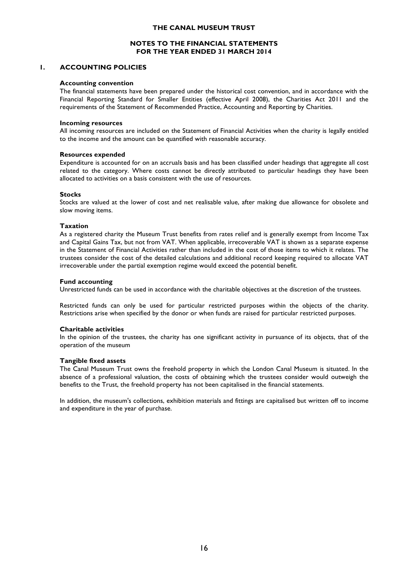#### **NOTES TO THE FINANCIAL STATEMENTS FOR THE YEAR ENDED 31 MARCH 2014**

#### **1. ACCOUNTING POLICIES**

#### **Accounting convention**

The financial statements have been prepared under the historical cost convention, and in accordance with the Financial Reporting Standard for Smaller Entities (effective April 2008), the Charities Act 2011 and the requirements of the Statement of Recommended Practice, Accounting and Reporting by Charities.

#### **Incoming resources**

All incoming resources are included on the Statement of Financial Activities when the charity is legally entitled to the income and the amount can be quantified with reasonable accuracy.

#### **Resources expended**

Expenditure is accounted for on an accruals basis and has been classified under headings that aggregate all cost related to the category. Where costs cannot be directly attributed to particular headings they have been allocated to activities on a basis consistent with the use of resources.

#### **Stocks**

Stocks are valued at the lower of cost and net realisable value, after making due allowance for obsolete and slow moving items.

#### **Taxation**

As a registered charity the Museum Trust benefits from rates relief and is generally exempt from Income Tax and Capital Gains Tax, but not from VAT. When applicable, irrecoverable VAT is shown as a separate expense in the Statement of Financial Activities rather than included in the cost of those items to which it relates. The trustees consider the cost of the detailed calculations and additional record keeping required to allocate VAT irrecoverable under the partial exemption regime would exceed the potential benefit.

#### **Fund accounting**

Unrestricted funds can be used in accordance with the charitable objectives at the discretion of the trustees.

Restricted funds can only be used for particular restricted purposes within the objects of the charity. Restrictions arise when specified by the donor or when funds are raised for particular restricted purposes.

#### **Charitable activities**

In the opinion of the trustees, the charity has one significant activity in pursuance of its objects, that of the operation of the museum

#### **Tangible fixed assets**

The Canal Museum Trust owns the freehold property in which the London Canal Museum is situated. In the absence of a professional valuation, the costs of obtaining which the trustees consider would outweigh the benefits to the Trust, the freehold property has not been capitalised in the financial statements.

In addition, the museum's collections, exhibition materials and fittings are capitalised but written off to income and expenditure in the year of purchase.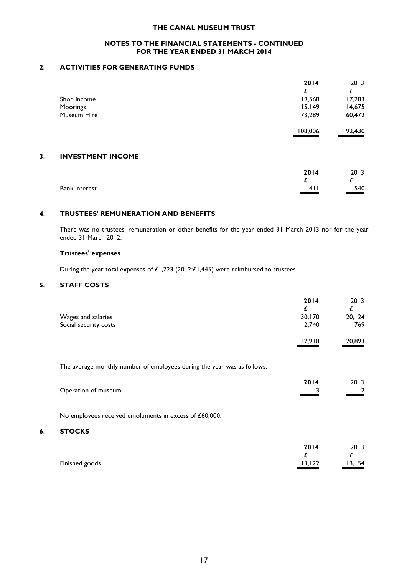#### **NOTES TO THE FINANCIAL STATEMENTS - CONTINUED FOR THE YEAR ENDED 31 MARCH 2014**

#### **2. ACTIVITIES FOR GENERATING FUNDS**

|    |                          | 2014    | 2013   |
|----|--------------------------|---------|--------|
|    |                          | £       |        |
|    | Shop income              | 19,568  | 17,283 |
|    | Moorings                 | 15,149  | 14,675 |
|    | Museum Hire              | 73,289  | 60,472 |
|    |                          | 108,006 | 92,430 |
|    |                          |         |        |
| 3. | <b>INVESTMENT INCOME</b> |         |        |

|                      | 2014  | 2013   |
|----------------------|-------|--------|
| <b>Bank interest</b> | 4 I I | $-540$ |

#### **4. TRUSTEES' REMUNERATION AND BENEFITS**

There was no trustees' remuneration or other benefits for the year ended 31 March 2013 nor for the year ended 31 March 2012.

#### **Trustees' expenses**

During the year total expenses of £1,723 (2012:£1,445) were reimbursed to trustees.

#### **5. STAFF COSTS**

|                       | 2014                                                                                                                            | 2013                               |
|-----------------------|---------------------------------------------------------------------------------------------------------------------------------|------------------------------------|
|                       |                                                                                                                                 |                                    |
| Wages and salaries    | 30,170                                                                                                                          | 20, 124                            |
| Social security costs | 2,740                                                                                                                           | 769                                |
|                       | 32,910<br><u> Tanzania de la contenentación de la contenentación de la contenentación de la contenentación de la contenenta</u> | 20,893<br>$\overline{\phantom{a}}$ |

The average monthly number of employees during the year was as follows:

|                     | 2014 | 2013 |
|---------------------|------|------|
| Operation of museum |      |      |
|                     |      |      |

No employees received emoluments in excess of £60,000.

#### **6. STOCKS**

|                | 2014    | 2013   |
|----------------|---------|--------|
|                |         | -      |
| Finished goods | 13, 122 | 13,154 |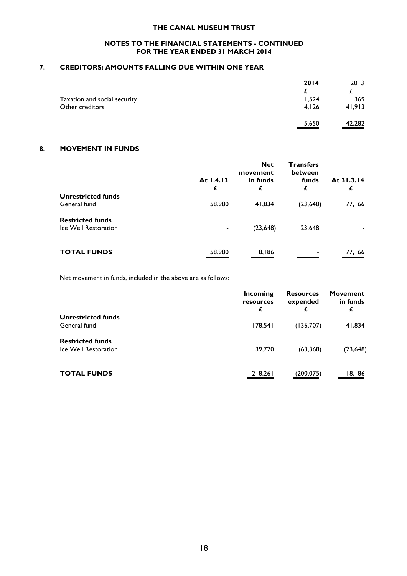#### **NOTES TO THE FINANCIAL STATEMENTS - CONTINUED FOR THE YEAR ENDED 31 MARCH 2014**

### **7. CREDITORS: AMOUNTS FALLING DUE WITHIN ONE YEAR**

| 2014  | 2013   |
|-------|--------|
|       |        |
| 1,524 | 369    |
| 4,126 | 41.913 |
|       |        |
| 5,650 | 42,282 |
|       |        |

### **8. MOVEMENT IN FUNDS**

|                                                 | At 1.4.13<br>£ | <b>Net</b><br>movement<br>in funds<br>£ | <b>Transfers</b><br>between<br>funds<br>£ | At 31.3.14<br>£ |
|-------------------------------------------------|----------------|-----------------------------------------|-------------------------------------------|-----------------|
| <b>Unrestricted funds</b><br>General fund       | 58,980         | 41,834                                  | (23, 648)                                 | 77,166          |
| <b>Restricted funds</b><br>Ice Well Restoration | $\blacksquare$ | (23, 648)                               | 23,648                                    |                 |
| <b>TOTAL FUNDS</b>                              | 58,980         | 18,186                                  |                                           | 77,166          |

Net movement in funds, included in the above are as follows:

|                                                 | Incoming<br>resources<br>£ | <b>Resources</b><br>expended<br>£ | <b>Movement</b><br>in funds<br>£ |
|-------------------------------------------------|----------------------------|-----------------------------------|----------------------------------|
| <b>Unrestricted funds</b><br>General fund       | 178,541                    | (136,707)                         | 41,834                           |
| <b>Restricted funds</b><br>Ice Well Restoration | 39,720                     | (63, 368)                         | (23, 648)                        |
|                                                 |                            |                                   |                                  |
| <b>TOTAL FUNDS</b>                              | 218,261                    | (200, 075)                        | 18,186                           |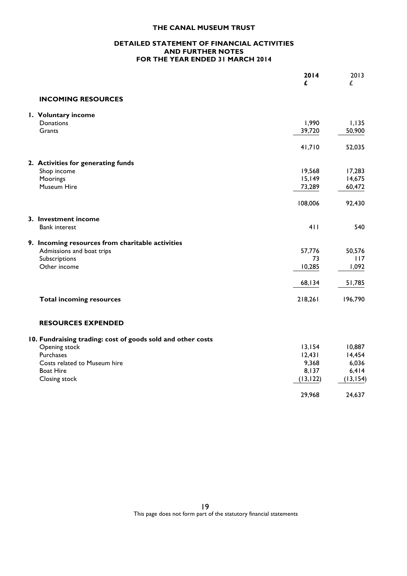#### **DETAILED STATEMENT OF FINANCIAL ACTIVITIES AND FURTHER NOTES FOR THE YEAR ENDED 31 MARCH 2014**

|                                                             | 2014<br>£ | 2013<br>£ |
|-------------------------------------------------------------|-----------|-----------|
| <b>INCOMING RESOURCES</b>                                   |           |           |
| I. Voluntary income                                         |           |           |
| Donations                                                   | 1,990     | 1,135     |
| Grants                                                      | 39,720    | 50,900    |
|                                                             | 41,710    | 52,035    |
| 2. Activities for generating funds                          |           |           |
| Shop income                                                 | 19,568    | 17,283    |
| Moorings                                                    | 15,149    | 14,675    |
| Museum Hire                                                 | 73,289    | 60,472    |
|                                                             | 108,006   | 92,430    |
| 3. Investment income                                        |           |           |
| <b>Bank interest</b>                                        | 411       | 540       |
| 9. Incoming resources from charitable activities            |           |           |
| Admissions and boat trips                                   | 57,776    | 50,576    |
| Subscriptions                                               | 73        | 117       |
| Other income                                                | 10,285    | 1,092     |
|                                                             | 68,134    | 51,785    |
| <b>Total incoming resources</b>                             | 218,261   | 196,790   |
| <b>RESOURCES EXPENDED</b>                                   |           |           |
| 10. Fundraising trading: cost of goods sold and other costs |           |           |
| Opening stock                                               | 13,154    | 10,887    |
| Purchases                                                   | 12,431    | 14,454    |
| Costs related to Museum hire                                | 9,368     | 6,036     |
| <b>Boat Hire</b>                                            | 8,137     | 6,414     |
| Closing stock                                               | (13, 122) | (13, 154) |
|                                                             | 29,968    | 24,637    |